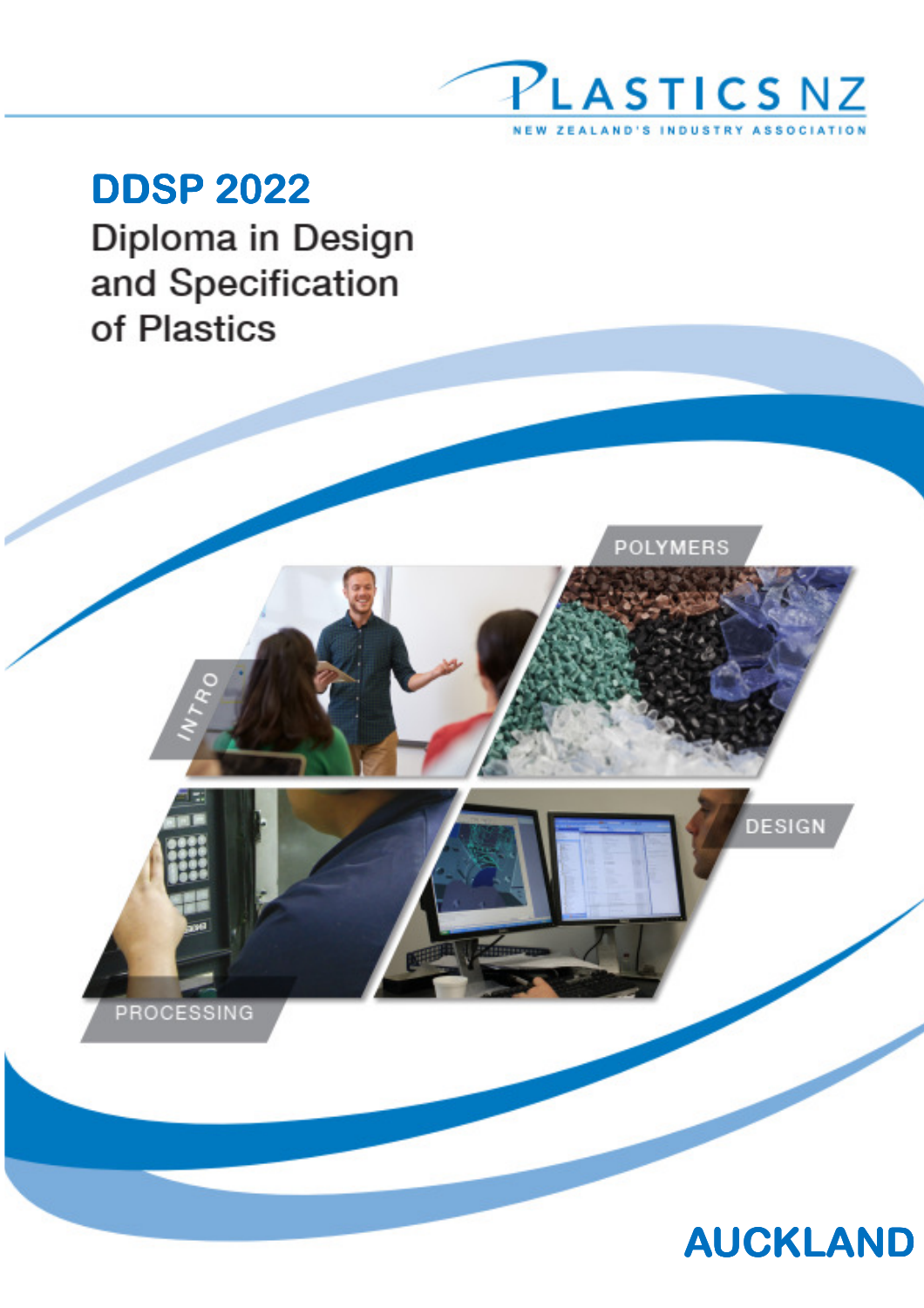

POLYMERS

**DDSP 2022** Diploma in Design and Specification of Plastics





DESIGN